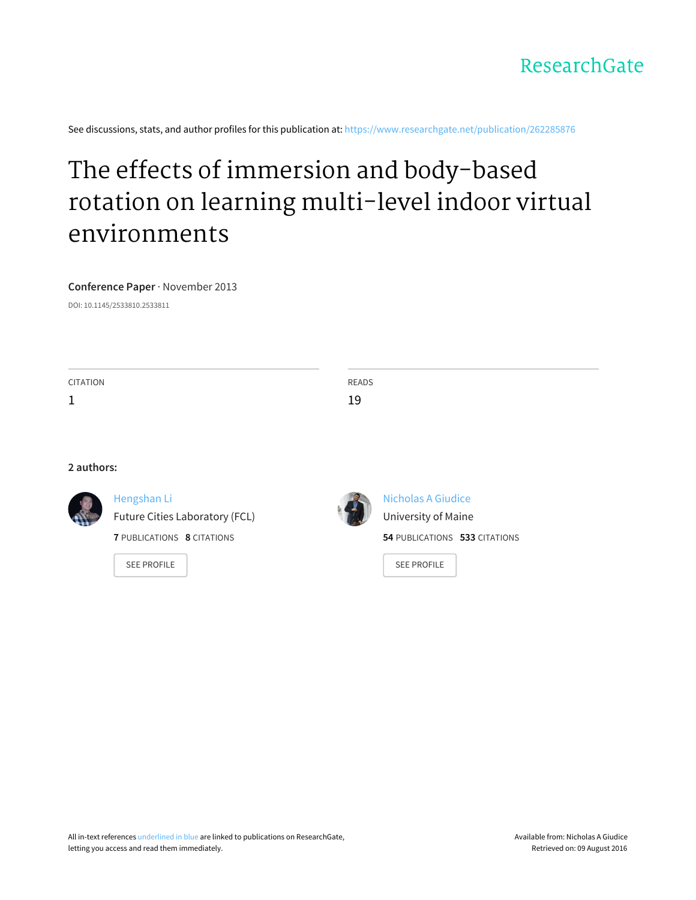See discussions, stats, and author profiles for this publication at: [https://www.researchgate.net/publication/262285876](https://www.researchgate.net/publication/262285876_The_effects_of_immersion_and_body-based_rotation_on_learning_multi-level_indoor_virtual_environments?enrichId=rgreq-2d331ed9ce02028c351d1630ee70a685-XXX&enrichSource=Y292ZXJQYWdlOzI2MjI4NTg3NjtBUzoyODMwMjIwODQ1OTE2MTZAMTQ0NDQ4OTEzMTM0Nw%3D%3D&el=1_x_2)

# The effects of immersion and body-based rotation on learning multi-level indoor virtual [environments](https://www.researchgate.net/publication/262285876_The_effects_of_immersion_and_body-based_rotation_on_learning_multi-level_indoor_virtual_environments?enrichId=rgreq-2d331ed9ce02028c351d1630ee70a685-XXX&enrichSource=Y292ZXJQYWdlOzI2MjI4NTg3NjtBUzoyODMwMjIwODQ1OTE2MTZAMTQ0NDQ4OTEzMTM0Nw%3D%3D&el=1_x_3)

#### **Conference Paper** · November 2013

DOI: 10.1145/2533810.2533811

| CITATION   |                                   | <b>READS</b><br>19            |
|------------|-----------------------------------|-------------------------------|
| 2 authors: |                                   |                               |
|            | Hengshan Li                       | <b>Nicholas A Giudice</b>     |
|            | Future Cities Laboratory (FCL)    | University of Maine           |
|            | <b>7 PUBLICATIONS 8 CITATIONS</b> | 54 PUBLICATIONS 533 CITATIONS |
|            | <b>SEE PROFILE</b>                | <b>SEE PROFILE</b>            |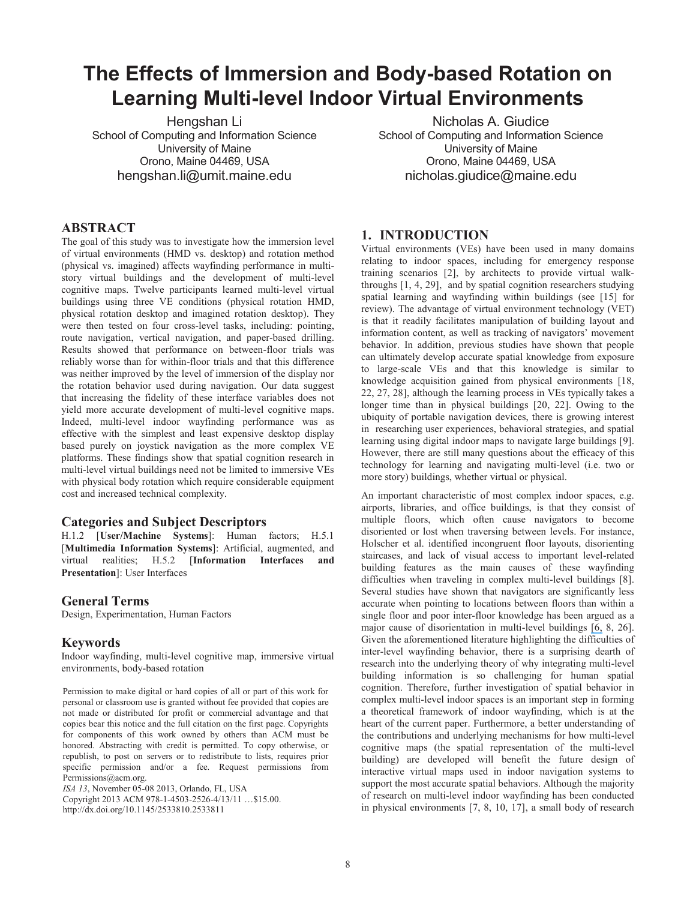# **The Effects of Immersion and Body-based Rotation on Learning Multi-level Indoor Virtual Environments**

Hengshan Li School of Computing and Information Science University of Maine Orono, Maine 04469, USA hengshan.li@umit.maine.edu

**ABSTRACT**

The goal of this study was to investigate how the immersion level of virtual environments (HMD vs. desktop) and rotation method (physical vs. imagined) affects wayfinding performance in multistory virtual buildings and the development of multi-level cognitive maps. Twelve participants learned multi-level virtual buildings using three VE conditions (physical rotation HMD, physical rotation desktop and imagined rotation desktop). They were then tested on four cross-level tasks, including: pointing, route navigation, vertical navigation, and paper-based drilling. Results showed that performance on between-floor trials was reliably worse than for within-floor trials and that this difference was neither improved by the level of immersion of the display nor the rotation behavior used during navigation. Our data suggest that increasing the fidelity of these interface variables does not yield more accurate development of multi-level cognitive maps. Indeed, multi-level indoor wayfinding performance was as effective with the simplest and least expensive desktop display based purely on joystick navigation as the more complex VE platforms. These findings show that spatial cognition research in multi-level virtual buildings need not be limited to immersive VEs with physical body rotation which require considerable equipment cost and increased technical complexity.

# **Categories and Subject Descriptors**

H.1.2 [**User/Machine Systems**]: Human factors; H.5.1 [**Multimedia Information Systems**]: Artificial, augmented, and virtual realities; H.5.2 [**Information Interfaces and Presentation**]: User Interfaces

#### **General Terms**

Design, Experimentation, Human Factors

# **Keywords**

Indoor wayfinding, multi-level cognitive map, immersive virtual environments, body-based rotation

Permission to make digital or hard copies of all or part of this work for personal or classroom use is granted without fee provided that copies are not made or distributed for profit or commercial advantage and that copies bear this notice and the full citation on the first page. Copyrights for components of this work owned by others than ACM must be honored. Abstracting with credit is permitted. To copy otherwise, or republish, to post on servers or to redistribute to lists, requires prior specific permission and/or a fee. Request permissions from Permissions@acm.org.

*ISA 13*, November 05-08 2013, Orlando, FL, USA

Copyright 2013 ACM 978-1-4503-2526-4/13/11 …\$15.00. http://dx.doi.org/10.1145/2533810.2533811

Nicholas A. Giudice School of Computing and Information Science University of Maine Orono, Maine 04469, USA nicholas.giudice@maine.edu

# **1. INTRODUCTION**

Virtual environments (VEs) have been used in many domains relating to indoor spaces, including for emergency response training scenarios [2], by architects to provide virtual walkthroughs [1, 4, 29], and by spatial cognition researchers studying spatial learning and wayfinding within buildings (see [15] for review). The advantage of virtual environment technology (VET) is that it readily facilitates manipulation of building layout and information content, as well as tracking of navigators' movement behavior. In addition, previous studies have shown that people can ultimately develop accurate spatial knowledge from exposure to large-scale VEs and that this knowledge is similar to knowledge acquisition gained from physical environments [18, 22, 27, 28], although the learning process in VEs typically takes a longer time than in physical buildings [20, 22]. Owing to the ubiquity of portable navigation devices, there is growing interest in researching user experiences, behavioral strategies, and spatial learning using digital indoor maps to navigate large buildings [9]. However, there are still many questions about the efficacy of this technology for learning and navigating multi-level (i.e. two or more story) buildings, whether virtual or physical.

An important characteristic of most complex indoor spaces, e.g. airports, libraries, and office buildings, is that they consist of multiple floors, which often cause navigators to become disoriented or lost when traversing between levels. For instance, Holscher et al. identified incongruent floor layouts, disorienting staircases, and lack of visual access to important level-related building features as the main causes of these wayfinding difficulties when traveling in complex multi-level buildings [8]. Several studies have shown that navigators are significantly less accurate when pointing to locations between floors than within a single floor and poor inter-floor knowledge has been argued as a major cause of disorientation in multi-level buildings [\[6,](https://www.researchgate.net/publication/262324203_The_Effects_of_Visual_Granularity_on_Indoor_Spatial_Learning_Assisted_by_Mobile_3D_Information_Displays?el=1_x_8&enrichId=rgreq-2d331ed9ce02028c351d1630ee70a685-XXX&enrichSource=Y292ZXJQYWdlOzI2MjI4NTg3NjtBUzoyODMwMjIwODQ1OTE2MTZAMTQ0NDQ4OTEzMTM0Nw==) 8, 26]. Given the aforementioned literature highlighting the difficulties of inter-level wayfinding behavior, there is a surprising dearth of research into the underlying theory of why integrating multi-level building information is so challenging for human spatial cognition. Therefore, further investigation of spatial behavior in complex multi-level indoor spaces is an important step in forming a theoretical framework of indoor wayfinding, which is at the heart of the current paper. Furthermore, a better understanding of the contributions and underlying mechanisms for how multi-level cognitive maps (the spatial representation of the multi-level building) are developed will benefit the future design of interactive virtual maps used in indoor navigation systems to support the most accurate spatial behaviors. Although the majority of research on multi-level indoor wayfinding has been conducted in physical environments [7, 8, 10, 17], a small body of research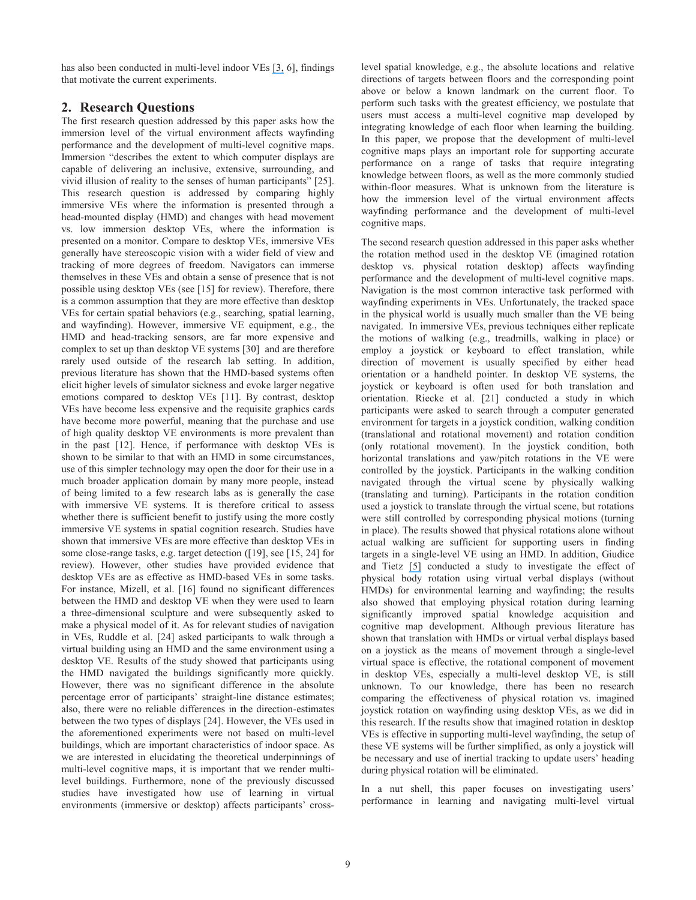has also been conducted in multi-level indoor VEs [\[3,](https://www.researchgate.net/publication/221314365_Navigation_aids_for_multi-floor_virtual_buildings_A_comparative_evaluation_of_two_approaches?el=1_x_8&enrichId=rgreq-2d331ed9ce02028c351d1630ee70a685-XXX&enrichSource=Y292ZXJQYWdlOzI2MjI4NTg3NjtBUzoyODMwMjIwODQ1OTE2MTZAMTQ0NDQ4OTEzMTM0Nw==) 6], findings that motivate the current experiments.

#### **2. Research Questions**

The first research question addressed by this paper asks how the immersion level of the virtual environment affects wayfinding performance and the development of multi-level cognitive maps. Immersion "describes the extent to which computer displays are capable of delivering an inclusive, extensive, surrounding, and vivid illusion of reality to the senses of human participants" [25]. This research question is addressed by comparing highly immersive VEs where the information is presented through a head-mounted display (HMD) and changes with head movement vs. low immersion desktop VEs, where the information is presented on a monitor. Compare to desktop VEs, immersive VEs generally have stereoscopic vision with a wider field of view and tracking of more degrees of freedom. Navigators can immerse themselves in these VEs and obtain a sense of presence that is not possible using desktop VEs (see [15] for review). Therefore, there is a common assumption that they are more effective than desktop VEs for certain spatial behaviors (e.g., searching, spatial learning, and wayfinding). However, immersive VE equipment, e.g., the HMD and head-tracking sensors, are far more expensive and complex to set up than desktop VE systems [30] and are therefore rarely used outside of the research lab setting. In addition, previous literature has shown that the HMD-based systems often elicit higher levels of simulator sickness and evoke larger negative emotions compared to desktop VEs [11]. By contrast, desktop VEs have become less expensive and the requisite graphics cards have become more powerful, meaning that the purchase and use of high quality desktop VE environments is more prevalent than in the past [12]. Hence, if performance with desktop VEs is shown to be similar to that with an HMD in some circumstances, use of this simpler technology may open the door for their use in a much broader application domain by many more people, instead of being limited to a few research labs as is generally the case with immersive VE systems. It is therefore critical to assess whether there is sufficient benefit to justify using the more costly immersive VE systems in spatial cognition research. Studies have shown that immersive VEs are more effective than desktop VEs in some close-range tasks, e.g. target detection ([19], see [15, 24] for review). However, other studies have provided evidence that desktop VEs are as effective as HMD-based VEs in some tasks. For instance, Mizell, et al. [16] found no significant differences between the HMD and desktop VE when they were used to learn a three-dimensional sculpture and were subsequently asked to make a physical model of it. As for relevant studies of navigation in VEs, Ruddle et al. [24] asked participants to walk through a virtual building using an HMD and the same environment using a desktop VE. Results of the study showed that participants using the HMD navigated the buildings significantly more quickly. However, there was no significant difference in the absolute percentage error of participants' straight-line distance estimates; also, there were no reliable differences in the direction-estimates between the two types of displays [24]. However, the VEs used in the aforementioned experiments were not based on multi-level buildings, which are important characteristics of indoor space. As we are interested in elucidating the theoretical underpinnings of multi-level cognitive maps, it is important that we render multilevel buildings. Furthermore, none of the previously discussed studies have investigated how use of learning in virtual environments (immersive or desktop) affects participants' crosslevel spatial knowledge, e.g., the absolute locations and relative directions of targets between floors and the corresponding point above or below a known landmark on the current floor. To perform such tasks with the greatest efficiency, we postulate that users must access a multi-level cognitive map developed by integrating knowledge of each floor when learning the building. In this paper, we propose that the development of multi-level cognitive maps plays an important role for supporting accurate performance on a range of tasks that require integrating knowledge between floors, as well as the more commonly studied within-floor measures. What is unknown from the literature is how the immersion level of the virtual environment affects wayfinding performance and the development of multi-level cognitive maps.

The second research question addressed in this paper asks whether the rotation method used in the desktop VE (imagined rotation desktop vs. physical rotation desktop) affects wayfinding performance and the development of multi-level cognitive maps. Navigation is the most common interactive task performed with wayfinding experiments in VEs. Unfortunately, the tracked space in the physical world is usually much smaller than the VE being navigated. In immersive VEs, previous techniques either replicate the motions of walking (e.g., treadmills, walking in place) or employ a joystick or keyboard to effect translation, while direction of movement is usually specified by either head orientation or a handheld pointer. In desktop VE systems, the joystick or keyboard is often used for both translation and orientation. Riecke et al. [21] conducted a study in which participants were asked to search through a computer generated environment for targets in a joystick condition, walking condition (translational and rotational movement) and rotation condition (only rotational movement). In the joystick condition, both horizontal translations and yaw/pitch rotations in the VE were controlled by the joystick. Participants in the walking condition navigated through the virtual scene by physically walking (translating and turning). Participants in the rotation condition used a joystick to translate through the virtual scene, but rotations were still controlled by corresponding physical motions (turning in place). The results showed that physical rotations alone without actual walking are sufficient for supporting users in finding targets in a single-level VE using an HMD. In addition, Giudice and Tietz [\[5\]](https://www.researchgate.net/publication/221104141_Learning_with_Virtual_Verbal_Displays_Effects_of_Interface_Fidelity_on_Cognitive_Map_Development?el=1_x_8&enrichId=rgreq-2d331ed9ce02028c351d1630ee70a685-XXX&enrichSource=Y292ZXJQYWdlOzI2MjI4NTg3NjtBUzoyODMwMjIwODQ1OTE2MTZAMTQ0NDQ4OTEzMTM0Nw==) conducted a study to investigate the effect of physical body rotation using virtual verbal displays (without HMDs) for environmental learning and wayfinding; the results also showed that employing physical rotation during learning significantly improved spatial knowledge acquisition and cognitive map development. Although previous literature has shown that translation with HMDs or virtual verbal displays based on a joystick as the means of movement through a single-level virtual space is effective, the rotational component of movement in desktop VEs, especially a multi-level desktop VE, is still unknown. To our knowledge, there has been no research comparing the effectiveness of physical rotation vs. imagined joystick rotation on wayfinding using desktop VEs, as we did in this research. If the results show that imagined rotation in desktop VEs is effective in supporting multi-level wayfinding, the setup of these VE systems will be further simplified, as only a joystick will be necessary and use of inertial tracking to update users' heading during physical rotation will be eliminated.

In a nut shell, this paper focuses on investigating users' performance in learning and navigating multi-level virtual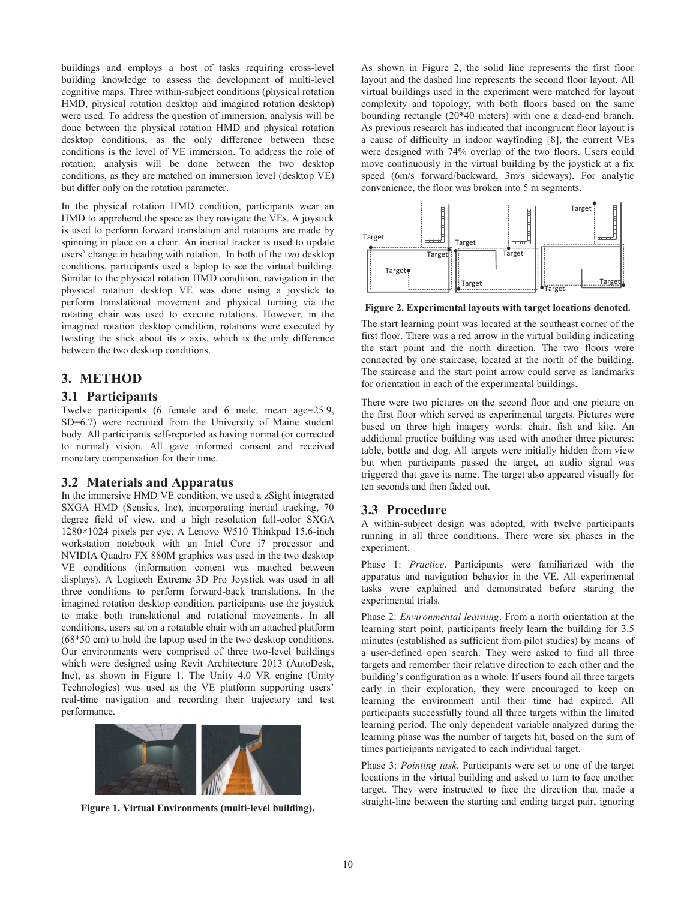buildings and employs a host of tasks requiring cross-level building knowledge to assess the development of multi-level cognitive maps. Three within-subject conditions (physical rotation HMD, physical rotation desktop and imagined rotation desktop) were used. To address the question of immersion, analysis will be done between the physical rotation HMD and physical rotation desktop conditions, as the only difference between these conditions is the level of VE immersion. To address the role of rotation, analysis will be done between the two desktop conditions, as they are matched on immersion level (desktop VE) but differ only on the rotation parameter.

In the physical rotation HMD condition, participants wear an HMD to apprehend the space as they navigate the VEs. A joystick is used to perform forward translation and rotations are made by spinning in place on a chair. An inertial tracker is used to update users' change in heading with rotation. In both of the two desktop conditions, participants used a laptop to see the virtual building. Similar to the physical rotation HMD condition, navigation in the physical rotation desktop VE was done using a joystick to perform translational movement and physical turning via the rotating chair was used to execute rotations. However, in the imagined rotation desktop condition, rotations were executed by twisting the stick about its z axis, which is the only difference between the two desktop conditions.

# **3. METHOD**

# **3.1 Participants**

Twelve participants (6 female and 6 male, mean age=25.9, SD=6.7) were recruited from the University of Maine student body. All participants self-reported as having normal (or corrected to normal) vision. All gave informed consent and received monetary compensation for their time.

# **3.2 Materials and Apparatus**

In the immersive HMD VE condition, we used a zSight integrated SXGA HMD (Sensics, Inc), incorporating inertial tracking, 70 degree field of view, and a high resolution full-color SXGA 1280×1024 pixels per eye. A Lenovo W510 Thinkpad 15.6-inch workstation notebook with an Intel Core i7 processor and NVIDIA Quadro FX 880M graphics was used in the two desktop VE conditions (information content was matched between displays). A Logitech Extreme 3D Pro Joystick was used in all three conditions to perform forward-back translations. In the imagined rotation desktop condition, participants use the joystick to make both translational and rotational movements. In all conditions, users sat on a rotatable chair with an attached platform (68\*50 cm) to hold the laptop used in the two desktop conditions. Our environments were comprised of three two-level buildings which were designed using Revit Architecture 2013 (AutoDesk, Inc), as shown in Figure 1. The Unity 4.0 VR engine (Unity Technologies) was used as the VE platform supporting users' real-time navigation and recording their trajectory and test performance.



**Figure 1. Virtual Environments (multi-level building).** 

As shown in Figure 2, the solid line represents the first floor layout and the dashed line represents the second floor layout. All virtual buildings used in the experiment were matched for layout complexity and topology, with both floors based on the same bounding rectangle (20\*40 meters) with one a dead-end branch. As previous research has indicated that incongruent floor layout is a cause of difficulty in indoor wayfinding [8], the current VEs were designed with 74% overlap of the two floors. Users could move continuously in the virtual building by the joystick at a fix speed (6m/s forward/backward, 3m/s sideways). For analytic convenience, the floor was broken into 5 m segments.



**Figure 2. Experimental layouts with target locations denoted.** 

The start learning point was located at the southeast corner of the first floor. There was a red arrow in the virtual building indicating the start point and the north direction. The two floors were connected by one staircase, located at the north of the building. The staircase and the start point arrow could serve as landmarks for orientation in each of the experimental buildings.

There were two pictures on the second floor and one picture on the first floor which served as experimental targets. Pictures were based on three high imagery words: chair, fish and kite. An additional practice building was used with another three pictures: table, bottle and dog. All targets were initially hidden from view but when participants passed the target, an audio signal was triggered that gave its name. The target also appeared visually for ten seconds and then faded out.

#### **3.3 Procedure**

A within-subject design was adopted, with twelve participants running in all three conditions. There were six phases in the experiment.

Phase 1: *Practice*. Participants were familiarized with the apparatus and navigation behavior in the VE. All experimental tasks were explained and demonstrated before starting the experimental trials.

Phase 2: *Environmental learning*. From a north orientation at the learning start point, participants freely learn the building for 3.5 minutes (established as sufficient from pilot studies) by means of a user-defined open search. They were asked to find all three targets and remember their relative direction to each other and the building's configuration as a whole. If users found all three targets early in their exploration, they were encouraged to keep on learning the environment until their time had expired. All participants successfully found all three targets within the limited learning period. The only dependent variable analyzed during the learning phase was the number of targets hit, based on the sum of times participants navigated to each individual target.

Phase 3: *Pointing task*. Participants were set to one of the target locations in the virtual building and asked to turn to face another target. They were instructed to face the direction that made a straight-line between the starting and ending target pair, ignoring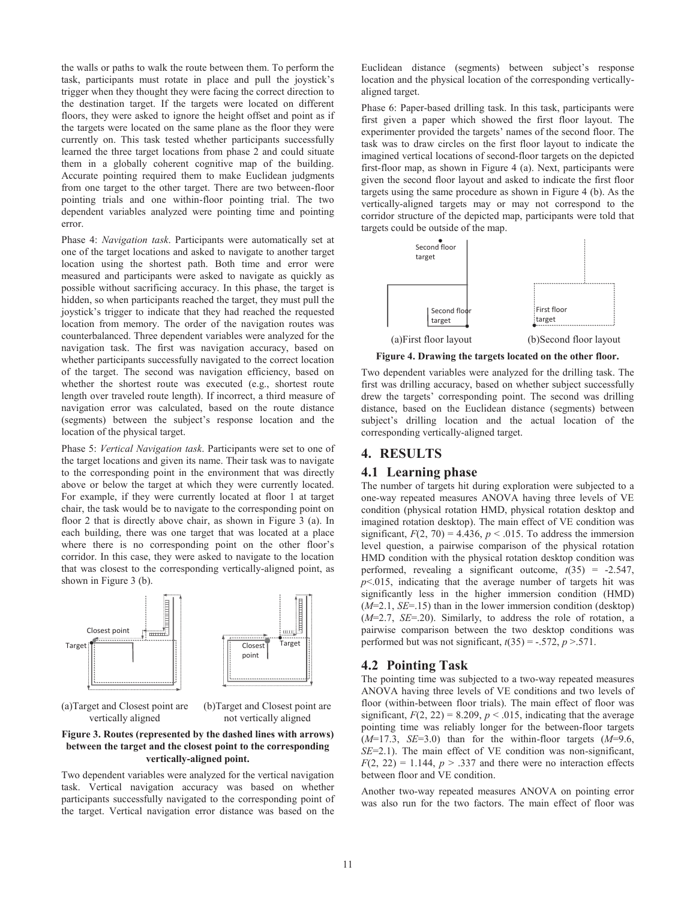the walls or paths to walk the route between them. To perform the task, participants must rotate in place and pull the joystick's trigger when they thought they were facing the correct direction to the destination target. If the targets were located on different floors, they were asked to ignore the height offset and point as if the targets were located on the same plane as the floor they were currently on. This task tested whether participants successfully learned the three target locations from phase 2 and could situate them in a globally coherent cognitive map of the building. Accurate pointing required them to make Euclidean judgments from one target to the other target. There are two between-floor pointing trials and one within-floor pointing trial. The two dependent variables analyzed were pointing time and pointing error.

Phase 4: *Navigation task*. Participants were automatically set at one of the target locations and asked to navigate to another target location using the shortest path. Both time and error were measured and participants were asked to navigate as quickly as possible without sacrificing accuracy. In this phase, the target is hidden, so when participants reached the target, they must pull the joystick's trigger to indicate that they had reached the requested location from memory. The order of the navigation routes was counterbalanced. Three dependent variables were analyzed for the navigation task. The first was navigation accuracy, based on whether participants successfully navigated to the correct location of the target. The second was navigation efficiency, based on whether the shortest route was executed (e.g., shortest route length over traveled route length). If incorrect, a third measure of navigation error was calculated, based on the route distance (segments) between the subject's response location and the location of the physical target.

Phase 5: *Vertical Navigation task*. Participants were set to one of the target locations and given its name. Their task was to navigate to the corresponding point in the environment that was directly above or below the target at which they were currently located. For example, if they were currently located at floor 1 at target chair, the task would be to navigate to the corresponding point on floor 2 that is directly above chair, as shown in Figure 3 (a). In each building, there was one target that was located at a place where there is no corresponding point on the other floor's corridor. In this case, they were asked to navigate to the location that was closest to the corresponding vertically-aligned point, as shown in Figure 3 (b).





(b)Target and Closest point are not vertically aligned

#### **Figure 3. Routes (represented by the dashed lines with arrows) between the target and the closest point to the corresponding vertically-aligned point.**

Two dependent variables were analyzed for the vertical navigation task. Vertical navigation accuracy was based on whether participants successfully navigated to the corresponding point of the target. Vertical navigation error distance was based on the

Euclidean distance (segments) between subject's response location and the physical location of the corresponding verticallyaligned target.

Phase 6: Paper-based drilling task. In this task, participants were first given a paper which showed the first floor layout. The experimenter provided the targets' names of the second floor. The task was to draw circles on the first floor layout to indicate the imagined vertical locations of second-floor targets on the depicted first-floor map, as shown in Figure 4 (a). Next, participants were given the second floor layout and asked to indicate the first floor targets using the same procedure as shown in Figure 4 (b). As the vertically-aligned targets may or may not correspond to the corridor structure of the depicted map, participants were told that targets could be outside of the map.



**Figure 4. Drawing the targets located on the other floor.** 

Two dependent variables were analyzed for the drilling task. The first was drilling accuracy, based on whether subject successfully drew the targets' corresponding point. The second was drilling distance, based on the Euclidean distance (segments) between subject's drilling location and the actual location of the corresponding vertically-aligned target.

# **4. RESULTS**

# **4.1 Learning phase**

The number of targets hit during exploration were subjected to a one-way repeated measures ANOVA having three levels of VE condition (physical rotation HMD, physical rotation desktop and imagined rotation desktop). The main effect of VE condition was significant,  $F(2, 70) = 4.436$ ,  $p < .015$ . To address the immersion level question, a pairwise comparison of the physical rotation HMD condition with the physical rotation desktop condition was performed, revealing a significant outcome,  $t(35) = -2.547$ ,  $p$ <.015, indicating that the average number of targets hit was significantly less in the higher immersion condition (HMD) (*M*=2.1, *SE*=.15) than in the lower immersion condition (desktop) (*M*=2.7, *SE*=.20). Similarly, to address the role of rotation, a pairwise comparison between the two desktop conditions was performed but was not significant,  $t(35) = -.572$ ,  $p > .571$ .

# **4.2 Pointing Task**

The pointing time was subjected to a two-way repeated measures ANOVA having three levels of VE conditions and two levels of floor (within-between floor trials). The main effect of floor was significant,  $F(2, 22) = 8.209$ ,  $p < .015$ , indicating that the average pointing time was reliably longer for the between-floor targets  $(M=17.3, SE=3.0)$  than for the within-floor targets  $(M=9.6,$ *SE*=2.1). The main effect of VE condition was non-significant,  $F(2, 22) = 1.144$ ,  $p > .337$  and there were no interaction effects between floor and VE condition.

Another two-way repeated measures ANOVA on pointing error was also run for the two factors. The main effect of floor was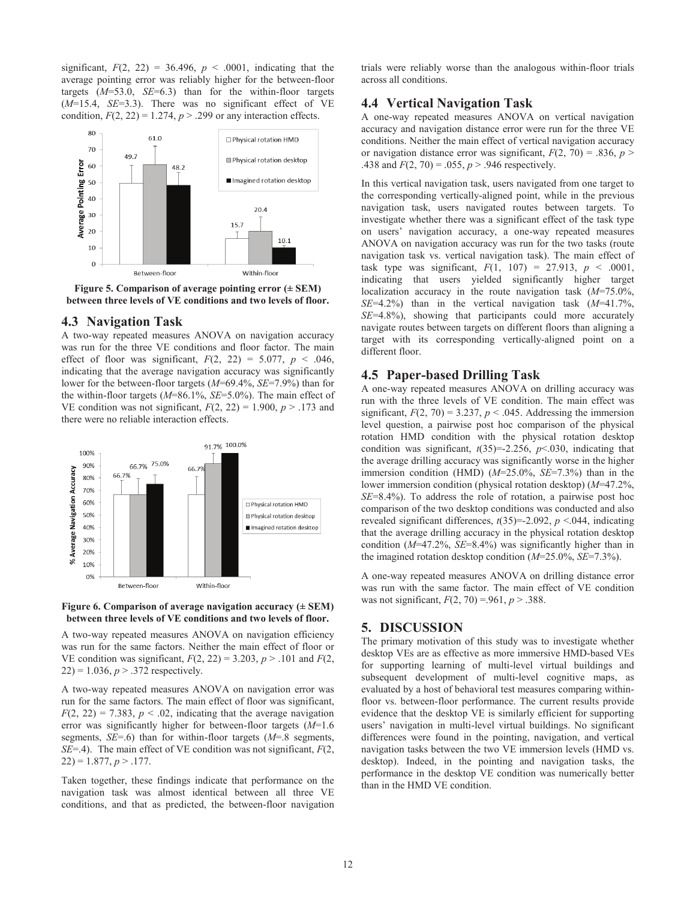significant,  $F(2, 22) = 36.496$ ,  $p < .0001$ , indicating that the average pointing error was reliably higher for the between-floor targets (*M*=53.0, *SE*=6.3) than for the within-floor targets (*M*=15.4, *SE*=3.3). There was no significant effect of VE condition,  $F(2, 22) = 1.274$ ,  $p > .299$  or any interaction effects.



**Figure 5. Comparison of average pointing error (± SEM) between three levels of VE conditions and two levels of floor.** 

#### **4.3 Navigation Task**

A two-way repeated measures ANOVA on navigation accuracy was run for the three VE conditions and floor factor. The main effect of floor was significant,  $F(2, 22) = 5.077$ ,  $p < .046$ , indicating that the average navigation accuracy was significantly lower for the between-floor targets (*M*=69.4%, *SE*=7.9%) than for the within-floor targets (*M*=86.1%, *SE*=5.0%). The main effect of VE condition was not significant,  $F(2, 22) = 1.900$ ,  $p > .173$  and there were no reliable interaction effects.





A two-way repeated measures ANOVA on navigation efficiency was run for the same factors. Neither the main effect of floor or VE condition was significant,  $F(2, 22) = 3.203$ ,  $p > .101$  and  $F(2, 12) = 3.203$  $22$ ) = 1.036, *p* > .372 respectively.

A two-way repeated measures ANOVA on navigation error was run for the same factors. The main effect of floor was significant,  $F(2, 22) = 7.383$ ,  $p < .02$ , indicating that the average navigation error was significantly higher for between-floor targets (*M*=1.6 segments, *SE*=.6) than for within-floor targets (*M*=.8 segments, *SE*=.4). The main effect of VE condition was not significant, *F*(2,  $22$ ) = 1.877,  $p > 0.177$ .

Taken together, these findings indicate that performance on the navigation task was almost identical between all three VE conditions, and that as predicted, the between-floor navigation trials were reliably worse than the analogous within-floor trials across all conditions.

# **4.4 Vertical Navigation Task**

A one-way repeated measures ANOVA on vertical navigation accuracy and navigation distance error were run for the three VE conditions. Neither the main effect of vertical navigation accuracy or navigation distance error was significant,  $F(2, 70) = .836$ ,  $p >$ .438 and *F*(2, 70) = .055, *p* > .946 respectively.

In this vertical navigation task, users navigated from one target to the corresponding vertically-aligned point, while in the previous navigation task, users navigated routes between targets. To investigate whether there was a significant effect of the task type on users' navigation accuracy, a one-way repeated measures ANOVA on navigation accuracy was run for the two tasks (route navigation task vs. vertical navigation task). The main effect of task type was significant,  $F(1, 107) = 27.913$ ,  $p < .0001$ , indicating that users yielded significantly higher target localization accuracy in the route navigation task (*M*=75.0%, *SE*=4.2%) than in the vertical navigation task (*M*=41.7%, *SE*=4.8%), showing that participants could more accurately navigate routes between targets on different floors than aligning a target with its corresponding vertically-aligned point on a different floor.

### **4.5 Paper-based Drilling Task**

A one-way repeated measures ANOVA on drilling accuracy was run with the three levels of VE condition. The main effect was significant,  $F(2, 70) = 3.237$ ,  $p < .045$ . Addressing the immersion level question, a pairwise post hoc comparison of the physical rotation HMD condition with the physical rotation desktop condition was significant,  $t(35)=2.256$ ,  $p<.030$ , indicating that the average drilling accuracy was significantly worse in the higher immersion condition (HMD) (*M*=25.0%, *SE*=7.3%) than in the lower immersion condition (physical rotation desktop) (*M*=47.2%, *SE*=8.4%). To address the role of rotation, a pairwise post hoc comparison of the two desktop conditions was conducted and also revealed significant differences,  $t(35)=-2.092$ ,  $p < 0.044$ , indicating that the average drilling accuracy in the physical rotation desktop condition (*M*=47.2%, *SE*=8.4%) was significantly higher than in the imagined rotation desktop condition (*M*=25.0%, *SE*=7.3%).

A one-way repeated measures ANOVA on drilling distance error was run with the same factor. The main effect of VE condition was not significant,  $F(2, 70) = 961$ ,  $p > .388$ .

#### **5. DISCUSSION**

The primary motivation of this study was to investigate whether desktop VEs are as effective as more immersive HMD-based VEs for supporting learning of multi-level virtual buildings and subsequent development of multi-level cognitive maps, as evaluated by a host of behavioral test measures comparing withinfloor vs. between-floor performance. The current results provide evidence that the desktop VE is similarly efficient for supporting users' navigation in multi-level virtual buildings. No significant differences were found in the pointing, navigation, and vertical navigation tasks between the two VE immersion levels (HMD vs. desktop). Indeed, in the pointing and navigation tasks, the performance in the desktop VE condition was numerically better than in the HMD VE condition.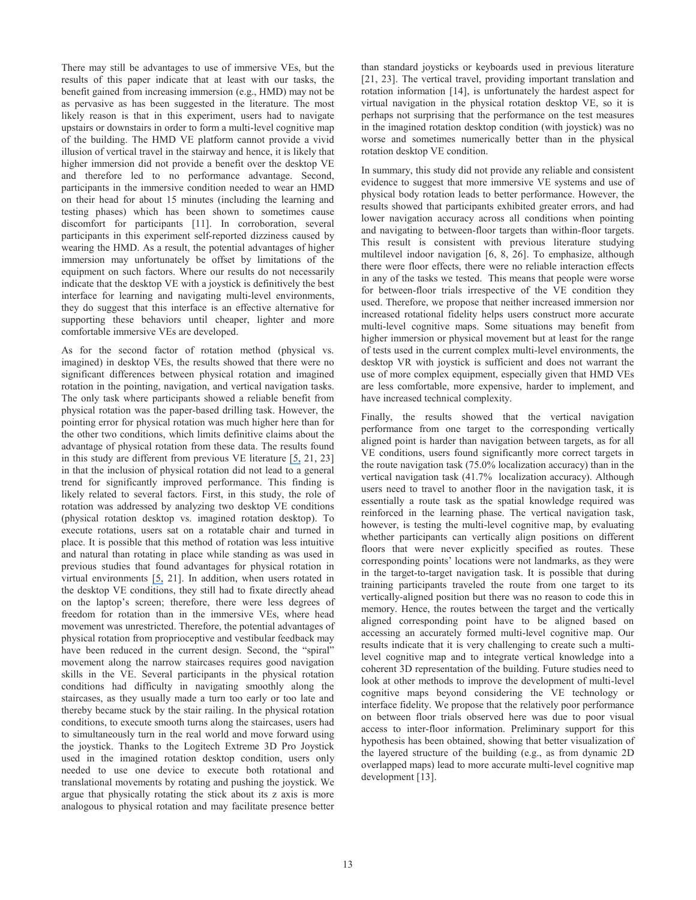There may still be advantages to use of immersive VEs, but the results of this paper indicate that at least with our tasks, the benefit gained from increasing immersion (e.g., HMD) may not be as pervasive as has been suggested in the literature. The most likely reason is that in this experiment, users had to navigate upstairs or downstairs in order to form a multi-level cognitive map of the building. The HMD VE platform cannot provide a vivid illusion of vertical travel in the stairway and hence, it is likely that higher immersion did not provide a benefit over the desktop VE and therefore led to no performance advantage. Second, participants in the immersive condition needed to wear an HMD on their head for about 15 minutes (including the learning and testing phases) which has been shown to sometimes cause discomfort for participants [11]. In corroboration, several participants in this experiment self-reported dizziness caused by wearing the HMD. As a result, the potential advantages of higher immersion may unfortunately be offset by limitations of the equipment on such factors. Where our results do not necessarily indicate that the desktop VE with a joystick is definitively the best interface for learning and navigating multi-level environments, they do suggest that this interface is an effective alternative for supporting these behaviors until cheaper, lighter and more comfortable immersive VEs are developed.

As for the second factor of rotation method (physical vs. imagined) in desktop VEs, the results showed that there were no significant differences between physical rotation and imagined rotation in the pointing, navigation, and vertical navigation tasks. The only task where participants showed a reliable benefit from physical rotation was the paper-based drilling task. However, the pointing error for physical rotation was much higher here than for the other two conditions, which limits definitive claims about the advantage of physical rotation from these data. The results found in this study are different from previous VE literature [\[5,](https://www.researchgate.net/publication/221104141_Learning_with_Virtual_Verbal_Displays_Effects_of_Interface_Fidelity_on_Cognitive_Map_Development?el=1_x_8&enrichId=rgreq-2d331ed9ce02028c351d1630ee70a685-XXX&enrichSource=Y292ZXJQYWdlOzI2MjI4NTg3NjtBUzoyODMwMjIwODQ1OTE2MTZAMTQ0NDQ4OTEzMTM0Nw==) 21, 23] in that the inclusion of physical rotation did not lead to a general trend for significantly improved performance. This finding is likely related to several factors. First, in this study, the role of rotation was addressed by analyzing two desktop VE conditions (physical rotation desktop vs. imagined rotation desktop). To execute rotations, users sat on a rotatable chair and turned in place. It is possible that this method of rotation was less intuitive and natural than rotating in place while standing as was used in previous studies that found advantages for physical rotation in virtual environments [\[5,](https://www.researchgate.net/publication/221104141_Learning_with_Virtual_Verbal_Displays_Effects_of_Interface_Fidelity_on_Cognitive_Map_Development?el=1_x_8&enrichId=rgreq-2d331ed9ce02028c351d1630ee70a685-XXX&enrichSource=Y292ZXJQYWdlOzI2MjI4NTg3NjtBUzoyODMwMjIwODQ1OTE2MTZAMTQ0NDQ4OTEzMTM0Nw==) 21]. In addition, when users rotated in the desktop VE conditions, they still had to fixate directly ahead on the laptop's screen; therefore, there were less degrees of freedom for rotation than in the immersive VEs, where head movement was unrestricted. Therefore, the potential advantages of physical rotation from proprioceptive and vestibular feedback may have been reduced in the current design. Second, the "spiral" movement along the narrow staircases requires good navigation skills in the VE. Several participants in the physical rotation conditions had difficulty in navigating smoothly along the staircases, as they usually made a turn too early or too late and thereby became stuck by the stair railing. In the physical rotation conditions, to execute smooth turns along the staircases, users had to simultaneously turn in the real world and move forward using the joystick. Thanks to the Logitech Extreme 3D Pro Joystick used in the imagined rotation desktop condition, users only needed to use one device to execute both rotational and translational movements by rotating and pushing the joystick. We argue that physically rotating the stick about its z axis is more analogous to physical rotation and may facilitate presence better

than standard joysticks or keyboards used in previous literature [21, 23]. The vertical travel, providing important translation and rotation information [14], is unfortunately the hardest aspect for virtual navigation in the physical rotation desktop VE, so it is perhaps not surprising that the performance on the test measures in the imagined rotation desktop condition (with joystick) was no worse and sometimes numerically better than in the physical rotation desktop VE condition.

In summary, this study did not provide any reliable and consistent evidence to suggest that more immersive VE systems and use of physical body rotation leads to better performance. However, the results showed that participants exhibited greater errors, and had lower navigation accuracy across all conditions when pointing and navigating to between-floor targets than within-floor targets. This result is consistent with previous literature studying multilevel indoor navigation [6, 8, 26]. To emphasize, although there were floor effects, there were no reliable interaction effects in any of the tasks we tested. This means that people were worse for between-floor trials irrespective of the VE condition they used. Therefore, we propose that neither increased immersion nor increased rotational fidelity helps users construct more accurate multi-level cognitive maps. Some situations may benefit from higher immersion or physical movement but at least for the range of tests used in the current complex multi-level environments, the desktop VR with joystick is sufficient and does not warrant the use of more complex equipment, especially given that HMD VEs are less comfortable, more expensive, harder to implement, and have increased technical complexity.

Finally, the results showed that the vertical navigation performance from one target to the corresponding vertically aligned point is harder than navigation between targets, as for all VE conditions, users found significantly more correct targets in the route navigation task (75.0% localization accuracy) than in the vertical navigation task (41.7% localization accuracy). Although users need to travel to another floor in the navigation task, it is essentially a route task as the spatial knowledge required was reinforced in the learning phase. The vertical navigation task, however, is testing the multi-level cognitive map, by evaluating whether participants can vertically align positions on different floors that were never explicitly specified as routes. These corresponding points' locations were not landmarks, as they were in the target-to-target navigation task. It is possible that during training participants traveled the route from one target to its vertically-aligned position but there was no reason to code this in memory. Hence, the routes between the target and the vertically aligned corresponding point have to be aligned based on accessing an accurately formed multi-level cognitive map. Our results indicate that it is very challenging to create such a multilevel cognitive map and to integrate vertical knowledge into a coherent 3D representation of the building. Future studies need to look at other methods to improve the development of multi-level cognitive maps beyond considering the VE technology or interface fidelity. We propose that the relatively poor performance on between floor trials observed here was due to poor visual access to inter-floor information. Preliminary support for this hypothesis has been obtained, showing that better visualization of the layered structure of the building (e.g., as from dynamic 2D overlapped maps) lead to more accurate multi-level cognitive map development [13].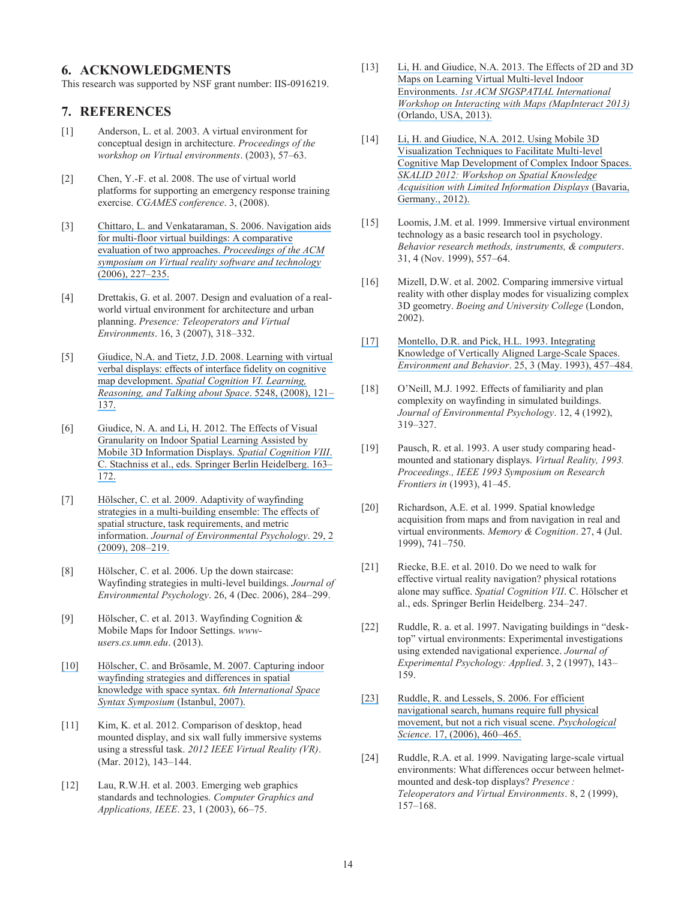# **6. ACKNOWLEDGMENTS**

This research was supported by NSF grant number: IIS-0916219.

# **7. REFERENCES**

- [1] Anderson, L. et al. 2003. A virtual environment for conceptual design in architecture. *Proceedings of the workshop on Virtual environments*. (2003), 57–63.
- [2] Chen, Y.-F. et al. 2008. The use of virtual world platforms for supporting an emergency response training exercise. *CGAMES conference*. 3, (2008).
- [3] [Chittaro, L. and Venkataraman, S. 2006. Navigation aids](https://www.researchgate.net/publication/221314365_Navigation_aids_for_multi-floor_virtual_buildings_A_comparative_evaluation_of_two_approaches?el=1_x_8&enrichId=rgreq-2d331ed9ce02028c351d1630ee70a685-XXX&enrichSource=Y292ZXJQYWdlOzI2MjI4NTg3NjtBUzoyODMwMjIwODQ1OTE2MTZAMTQ0NDQ4OTEzMTM0Nw==) [for multi-floor virtual buildings: A comparative](https://www.researchgate.net/publication/221314365_Navigation_aids_for_multi-floor_virtual_buildings_A_comparative_evaluation_of_two_approaches?el=1_x_8&enrichId=rgreq-2d331ed9ce02028c351d1630ee70a685-XXX&enrichSource=Y292ZXJQYWdlOzI2MjI4NTg3NjtBUzoyODMwMjIwODQ1OTE2MTZAMTQ0NDQ4OTEzMTM0Nw==)  [evaluation of two approaches.](https://www.researchgate.net/publication/221314365_Navigation_aids_for_multi-floor_virtual_buildings_A_comparative_evaluation_of_two_approaches?el=1_x_8&enrichId=rgreq-2d331ed9ce02028c351d1630ee70a685-XXX&enrichSource=Y292ZXJQYWdlOzI2MjI4NTg3NjtBUzoyODMwMjIwODQ1OTE2MTZAMTQ0NDQ4OTEzMTM0Nw==) *Proceedings of the ACM [symposium on Virtual reality software and technology](https://www.researchgate.net/publication/221314365_Navigation_aids_for_multi-floor_virtual_buildings_A_comparative_evaluation_of_two_approaches?el=1_x_8&enrichId=rgreq-2d331ed9ce02028c351d1630ee70a685-XXX&enrichSource=Y292ZXJQYWdlOzI2MjI4NTg3NjtBUzoyODMwMjIwODQ1OTE2MTZAMTQ0NDQ4OTEzMTM0Nw==)*  $(2006), 227 - 235.$  $(2006), 227 - 235.$
- [4] Drettakis, G. et al. 2007. Design and evaluation of a realworld virtual environment for architecture and urban planning. *Presence: Teleoperators and Virtual Environments*. 16, 3 (2007), 318–332.
- [5] [Giudice, N.A. and Tietz, J.D. 2008. Learning with virtual](https://www.researchgate.net/publication/221104141_Learning_with_Virtual_Verbal_Displays_Effects_of_Interface_Fidelity_on_Cognitive_Map_Development?el=1_x_8&enrichId=rgreq-2d331ed9ce02028c351d1630ee70a685-XXX&enrichSource=Y292ZXJQYWdlOzI2MjI4NTg3NjtBUzoyODMwMjIwODQ1OTE2MTZAMTQ0NDQ4OTEzMTM0Nw==)  [verbal displays: effects of interface fidelity on cognitive](https://www.researchgate.net/publication/221104141_Learning_with_Virtual_Verbal_Displays_Effects_of_Interface_Fidelity_on_Cognitive_Map_Development?el=1_x_8&enrichId=rgreq-2d331ed9ce02028c351d1630ee70a685-XXX&enrichSource=Y292ZXJQYWdlOzI2MjI4NTg3NjtBUzoyODMwMjIwODQ1OTE2MTZAMTQ0NDQ4OTEzMTM0Nw==) map development. *[Spatial Cognition VI. Learning,](https://www.researchgate.net/publication/221104141_Learning_with_Virtual_Verbal_Displays_Effects_of_Interface_Fidelity_on_Cognitive_Map_Development?el=1_x_8&enrichId=rgreq-2d331ed9ce02028c351d1630ee70a685-XXX&enrichSource=Y292ZXJQYWdlOzI2MjI4NTg3NjtBUzoyODMwMjIwODQ1OTE2MTZAMTQ0NDQ4OTEzMTM0Nw==)  [Reasoning, and Talking about Space](https://www.researchgate.net/publication/221104141_Learning_with_Virtual_Verbal_Displays_Effects_of_Interface_Fidelity_on_Cognitive_Map_Development?el=1_x_8&enrichId=rgreq-2d331ed9ce02028c351d1630ee70a685-XXX&enrichSource=Y292ZXJQYWdlOzI2MjI4NTg3NjtBUzoyODMwMjIwODQ1OTE2MTZAMTQ0NDQ4OTEzMTM0Nw==)*. 5248, (2008), 121– [137.](https://www.researchgate.net/publication/221104141_Learning_with_Virtual_Verbal_Displays_Effects_of_Interface_Fidelity_on_Cognitive_Map_Development?el=1_x_8&enrichId=rgreq-2d331ed9ce02028c351d1630ee70a685-XXX&enrichSource=Y292ZXJQYWdlOzI2MjI4NTg3NjtBUzoyODMwMjIwODQ1OTE2MTZAMTQ0NDQ4OTEzMTM0Nw==)
- [6] [Giudice, N. A. and Li, H. 2012. The Effects of Visual](https://www.researchgate.net/publication/262324203_The_Effects_of_Visual_Granularity_on_Indoor_Spatial_Learning_Assisted_by_Mobile_3D_Information_Displays?el=1_x_8&enrichId=rgreq-2d331ed9ce02028c351d1630ee70a685-XXX&enrichSource=Y292ZXJQYWdlOzI2MjI4NTg3NjtBUzoyODMwMjIwODQ1OTE2MTZAMTQ0NDQ4OTEzMTM0Nw==) [Granularity on Indoor Spatial Learning Assisted by](https://www.researchgate.net/publication/262324203_The_Effects_of_Visual_Granularity_on_Indoor_Spatial_Learning_Assisted_by_Mobile_3D_Information_Displays?el=1_x_8&enrichId=rgreq-2d331ed9ce02028c351d1630ee70a685-XXX&enrichSource=Y292ZXJQYWdlOzI2MjI4NTg3NjtBUzoyODMwMjIwODQ1OTE2MTZAMTQ0NDQ4OTEzMTM0Nw==)  [Mobile 3D Information Displays.](https://www.researchgate.net/publication/262324203_The_Effects_of_Visual_Granularity_on_Indoor_Spatial_Learning_Assisted_by_Mobile_3D_Information_Displays?el=1_x_8&enrichId=rgreq-2d331ed9ce02028c351d1630ee70a685-XXX&enrichSource=Y292ZXJQYWdlOzI2MjI4NTg3NjtBUzoyODMwMjIwODQ1OTE2MTZAMTQ0NDQ4OTEzMTM0Nw==) *Spatial Cognition VIII*. [C. Stachniss et al., eds. Springer Berlin Heidelberg. 163](https://www.researchgate.net/publication/262324203_The_Effects_of_Visual_Granularity_on_Indoor_Spatial_Learning_Assisted_by_Mobile_3D_Information_Displays?el=1_x_8&enrichId=rgreq-2d331ed9ce02028c351d1630ee70a685-XXX&enrichSource=Y292ZXJQYWdlOzI2MjI4NTg3NjtBUzoyODMwMjIwODQ1OTE2MTZAMTQ0NDQ4OTEzMTM0Nw==)– [172.](https://www.researchgate.net/publication/262324203_The_Effects_of_Visual_Granularity_on_Indoor_Spatial_Learning_Assisted_by_Mobile_3D_Information_Displays?el=1_x_8&enrichId=rgreq-2d331ed9ce02028c351d1630ee70a685-XXX&enrichSource=Y292ZXJQYWdlOzI2MjI4NTg3NjtBUzoyODMwMjIwODQ1OTE2MTZAMTQ0NDQ4OTEzMTM0Nw==)
- [7] [Hölscher, C. et al. 2009. Adaptivity of wayfinding](https://www.researchgate.net/publication/41782112_Adaptivity_of_wayfinding_strategies_in_a_multi-building_ensemble_The_effects_of_spatial_structure_task_requirements_and_metric_information?el=1_x_8&enrichId=rgreq-2d331ed9ce02028c351d1630ee70a685-XXX&enrichSource=Y292ZXJQYWdlOzI2MjI4NTg3NjtBUzoyODMwMjIwODQ1OTE2MTZAMTQ0NDQ4OTEzMTM0Nw==) [strategies in a multi-building ensemble: The effects of](https://www.researchgate.net/publication/41782112_Adaptivity_of_wayfinding_strategies_in_a_multi-building_ensemble_The_effects_of_spatial_structure_task_requirements_and_metric_information?el=1_x_8&enrichId=rgreq-2d331ed9ce02028c351d1630ee70a685-XXX&enrichSource=Y292ZXJQYWdlOzI2MjI4NTg3NjtBUzoyODMwMjIwODQ1OTE2MTZAMTQ0NDQ4OTEzMTM0Nw==)  [spatial structure, task requirements, and metric](https://www.researchgate.net/publication/41782112_Adaptivity_of_wayfinding_strategies_in_a_multi-building_ensemble_The_effects_of_spatial_structure_task_requirements_and_metric_information?el=1_x_8&enrichId=rgreq-2d331ed9ce02028c351d1630ee70a685-XXX&enrichSource=Y292ZXJQYWdlOzI2MjI4NTg3NjtBUzoyODMwMjIwODQ1OTE2MTZAMTQ0NDQ4OTEzMTM0Nw==) information. *[Journal of Environmental Psychology](https://www.researchgate.net/publication/41782112_Adaptivity_of_wayfinding_strategies_in_a_multi-building_ensemble_The_effects_of_spatial_structure_task_requirements_and_metric_information?el=1_x_8&enrichId=rgreq-2d331ed9ce02028c351d1630ee70a685-XXX&enrichSource=Y292ZXJQYWdlOzI2MjI4NTg3NjtBUzoyODMwMjIwODQ1OTE2MTZAMTQ0NDQ4OTEzMTM0Nw==)*. 29, 2 [\(2009\), 208](https://www.researchgate.net/publication/41782112_Adaptivity_of_wayfinding_strategies_in_a_multi-building_ensemble_The_effects_of_spatial_structure_task_requirements_and_metric_information?el=1_x_8&enrichId=rgreq-2d331ed9ce02028c351d1630ee70a685-XXX&enrichSource=Y292ZXJQYWdlOzI2MjI4NTg3NjtBUzoyODMwMjIwODQ1OTE2MTZAMTQ0NDQ4OTEzMTM0Nw==)–219.
- [8] Hölscher, C. et al. 2006. Up the down staircase: Wayfinding strategies in multi-level buildings. *Journal of Environmental Psychology*. 26, 4 (Dec. 2006), 284–299.
- [9] Hölscher, C. et al. 2013. Wayfinding Cognition & Mobile Maps for Indoor Settings. *wwwusers.cs.umn.edu*. (2013).
- [\[10\]](https://www.researchgate.net/publication/228668135_Capturing_indoor_wayfinding_strategies_and_differences_in_spatial_knowledge_with_space_syntax?el=1_x_8&enrichId=rgreq-2d331ed9ce02028c351d1630ee70a685-XXX&enrichSource=Y292ZXJQYWdlOzI2MjI4NTg3NjtBUzoyODMwMjIwODQ1OTE2MTZAMTQ0NDQ4OTEzMTM0Nw==) [Hölscher, C. and Brösamle, M. 2007. Capturing indoor](https://www.researchgate.net/publication/228668135_Capturing_indoor_wayfinding_strategies_and_differences_in_spatial_knowledge_with_space_syntax?el=1_x_8&enrichId=rgreq-2d331ed9ce02028c351d1630ee70a685-XXX&enrichSource=Y292ZXJQYWdlOzI2MjI4NTg3NjtBUzoyODMwMjIwODQ1OTE2MTZAMTQ0NDQ4OTEzMTM0Nw==) [wayfinding strategies and differences in spatial](https://www.researchgate.net/publication/228668135_Capturing_indoor_wayfinding_strategies_and_differences_in_spatial_knowledge_with_space_syntax?el=1_x_8&enrichId=rgreq-2d331ed9ce02028c351d1630ee70a685-XXX&enrichSource=Y292ZXJQYWdlOzI2MjI4NTg3NjtBUzoyODMwMjIwODQ1OTE2MTZAMTQ0NDQ4OTEzMTM0Nw==) [knowledge with space syntax.](https://www.researchgate.net/publication/228668135_Capturing_indoor_wayfinding_strategies_and_differences_in_spatial_knowledge_with_space_syntax?el=1_x_8&enrichId=rgreq-2d331ed9ce02028c351d1630ee70a685-XXX&enrichSource=Y292ZXJQYWdlOzI2MjI4NTg3NjtBUzoyODMwMjIwODQ1OTE2MTZAMTQ0NDQ4OTEzMTM0Nw==) *6th International Space [Syntax Symposium](https://www.researchgate.net/publication/228668135_Capturing_indoor_wayfinding_strategies_and_differences_in_spatial_knowledge_with_space_syntax?el=1_x_8&enrichId=rgreq-2d331ed9ce02028c351d1630ee70a685-XXX&enrichSource=Y292ZXJQYWdlOzI2MjI4NTg3NjtBUzoyODMwMjIwODQ1OTE2MTZAMTQ0NDQ4OTEzMTM0Nw==)* (Istanbul, 2007).
- [11] Kim, K. et al. 2012. Comparison of desktop, head mounted display, and six wall fully immersive systems using a stressful task. *2012 IEEE Virtual Reality (VR)*. (Mar. 2012), 143–144.
- [12] Lau, R.W.H. et al. 2003. Emerging web graphics standards and technologies. *Computer Graphics and Applications, IEEE*. 23, 1 (2003), 66–75.
- [13] [Li, H. and Giudice, N.A. 2013. The Effects of 2D and 3D](https://www.researchgate.net/publication/262366010_The_effects_of_2D_and_3D_maps_on_learning_virtual_multi-level_indoor_environments?el=1_x_8&enrichId=rgreq-2d331ed9ce02028c351d1630ee70a685-XXX&enrichSource=Y292ZXJQYWdlOzI2MjI4NTg3NjtBUzoyODMwMjIwODQ1OTE2MTZAMTQ0NDQ4OTEzMTM0Nw==) [Maps on Learning Virtual Multi-level Indoor](https://www.researchgate.net/publication/262366010_The_effects_of_2D_and_3D_maps_on_learning_virtual_multi-level_indoor_environments?el=1_x_8&enrichId=rgreq-2d331ed9ce02028c351d1630ee70a685-XXX&enrichSource=Y292ZXJQYWdlOzI2MjI4NTg3NjtBUzoyODMwMjIwODQ1OTE2MTZAMTQ0NDQ4OTEzMTM0Nw==) Environments. *[1st ACM SIGSPATIAL International](https://www.researchgate.net/publication/262366010_The_effects_of_2D_and_3D_maps_on_learning_virtual_multi-level_indoor_environments?el=1_x_8&enrichId=rgreq-2d331ed9ce02028c351d1630ee70a685-XXX&enrichSource=Y292ZXJQYWdlOzI2MjI4NTg3NjtBUzoyODMwMjIwODQ1OTE2MTZAMTQ0NDQ4OTEzMTM0Nw==) [Workshop on Interacting with Maps \(MapInteract 2013\)](https://www.researchgate.net/publication/262366010_The_effects_of_2D_and_3D_maps_on_learning_virtual_multi-level_indoor_environments?el=1_x_8&enrichId=rgreq-2d331ed9ce02028c351d1630ee70a685-XXX&enrichSource=Y292ZXJQYWdlOzI2MjI4NTg3NjtBUzoyODMwMjIwODQ1OTE2MTZAMTQ0NDQ4OTEzMTM0Nw==)* [\(Orlando, USA, 2013\).](https://www.researchgate.net/publication/262366010_The_effects_of_2D_and_3D_maps_on_learning_virtual_multi-level_indoor_environments?el=1_x_8&enrichId=rgreq-2d331ed9ce02028c351d1630ee70a685-XXX&enrichSource=Y292ZXJQYWdlOzI2MjI4NTg3NjtBUzoyODMwMjIwODQ1OTE2MTZAMTQ0NDQ4OTEzMTM0Nw==)
- [14] [Li, H. and Giudice, N.A. 2012. Using Mobile 3D](https://www.researchgate.net/publication/267262541_Using_Mobile_3D_Visualization_Techniques_to_Facilitate_Multi-level_Cognitive_Map_Development_of_Complex_Indoor_Spaces?el=1_x_8&enrichId=rgreq-2d331ed9ce02028c351d1630ee70a685-XXX&enrichSource=Y292ZXJQYWdlOzI2MjI4NTg3NjtBUzoyODMwMjIwODQ1OTE2MTZAMTQ0NDQ4OTEzMTM0Nw==) [Visualization Techniques to Facilitate Multi-level](https://www.researchgate.net/publication/267262541_Using_Mobile_3D_Visualization_Techniques_to_Facilitate_Multi-level_Cognitive_Map_Development_of_Complex_Indoor_Spaces?el=1_x_8&enrichId=rgreq-2d331ed9ce02028c351d1630ee70a685-XXX&enrichSource=Y292ZXJQYWdlOzI2MjI4NTg3NjtBUzoyODMwMjIwODQ1OTE2MTZAMTQ0NDQ4OTEzMTM0Nw==) [Cognitive Map Development of Complex Indoor Spaces.](https://www.researchgate.net/publication/267262541_Using_Mobile_3D_Visualization_Techniques_to_Facilitate_Multi-level_Cognitive_Map_Development_of_Complex_Indoor_Spaces?el=1_x_8&enrichId=rgreq-2d331ed9ce02028c351d1630ee70a685-XXX&enrichSource=Y292ZXJQYWdlOzI2MjI4NTg3NjtBUzoyODMwMjIwODQ1OTE2MTZAMTQ0NDQ4OTEzMTM0Nw==)  *[SKALID 2012: Workshop on Spatial Knowledge](https://www.researchgate.net/publication/267262541_Using_Mobile_3D_Visualization_Techniques_to_Facilitate_Multi-level_Cognitive_Map_Development_of_Complex_Indoor_Spaces?el=1_x_8&enrichId=rgreq-2d331ed9ce02028c351d1630ee70a685-XXX&enrichSource=Y292ZXJQYWdlOzI2MjI4NTg3NjtBUzoyODMwMjIwODQ1OTE2MTZAMTQ0NDQ4OTEzMTM0Nw==) [Acquisition with Limited Information Displays](https://www.researchgate.net/publication/267262541_Using_Mobile_3D_Visualization_Techniques_to_Facilitate_Multi-level_Cognitive_Map_Development_of_Complex_Indoor_Spaces?el=1_x_8&enrichId=rgreq-2d331ed9ce02028c351d1630ee70a685-XXX&enrichSource=Y292ZXJQYWdlOzI2MjI4NTg3NjtBUzoyODMwMjIwODQ1OTE2MTZAMTQ0NDQ4OTEzMTM0Nw==)* (Bavaria, [Germany., 2012\).](https://www.researchgate.net/publication/267262541_Using_Mobile_3D_Visualization_Techniques_to_Facilitate_Multi-level_Cognitive_Map_Development_of_Complex_Indoor_Spaces?el=1_x_8&enrichId=rgreq-2d331ed9ce02028c351d1630ee70a685-XXX&enrichSource=Y292ZXJQYWdlOzI2MjI4NTg3NjtBUzoyODMwMjIwODQ1OTE2MTZAMTQ0NDQ4OTEzMTM0Nw==)
- [15] Loomis, J.M. et al. 1999. Immersive virtual environment technology as a basic research tool in psychology. *Behavior research methods, instruments, & computers*. 31, 4 (Nov. 1999), 557–64.
- [16] Mizell, D.W. et al. 2002. Comparing immersive virtual reality with other display modes for visualizing complex 3D geometry. *Boeing and University College* (London, 2002).
- [\[17\]](https://www.researchgate.net/publication/248509292_Integrating_Knowledge_of_Vertically_Aligned_Large-Scale_Spaces?el=1_x_8&enrichId=rgreq-2d331ed9ce02028c351d1630ee70a685-XXX&enrichSource=Y292ZXJQYWdlOzI2MjI4NTg3NjtBUzoyODMwMjIwODQ1OTE2MTZAMTQ0NDQ4OTEzMTM0Nw==) Montello, D.R. and Pick, H.L. 1993. Integrating [Knowledge of Vertically Aligned Large-Scale Spaces.](https://www.researchgate.net/publication/248509292_Integrating_Knowledge_of_Vertically_Aligned_Large-Scale_Spaces?el=1_x_8&enrichId=rgreq-2d331ed9ce02028c351d1630ee70a685-XXX&enrichSource=Y292ZXJQYWdlOzI2MjI4NTg3NjtBUzoyODMwMjIwODQ1OTE2MTZAMTQ0NDQ4OTEzMTM0Nw==)  *[Environment and Behavior](https://www.researchgate.net/publication/248509292_Integrating_Knowledge_of_Vertically_Aligned_Large-Scale_Spaces?el=1_x_8&enrichId=rgreq-2d331ed9ce02028c351d1630ee70a685-XXX&enrichSource=Y292ZXJQYWdlOzI2MjI4NTg3NjtBUzoyODMwMjIwODQ1OTE2MTZAMTQ0NDQ4OTEzMTM0Nw==)*. 25, 3 (May. 1993), 457–484.
- [18] O'Neill, M.J. 1992. Effects of familiarity and plan complexity on wayfinding in simulated buildings. *Journal of Environmental Psychology*. 12, 4 (1992), 319–327.
- [19] Pausch, R. et al. 1993. A user study comparing headmounted and stationary displays. *Virtual Reality, 1993. Proceedings., IEEE 1993 Symposium on Research Frontiers in* (1993), 41–45.
- [20] Richardson, A.E. et al. 1999. Spatial knowledge acquisition from maps and from navigation in real and virtual environments. *Memory & Cognition*. 27, 4 (Jul. 1999), 741–750.
- [21] Riecke, B.E. et al. 2010. Do we need to walk for effective virtual reality navigation? physical rotations alone may suffice. *Spatial Cognition VII*. C. Hölscher et al., eds. Springer Berlin Heidelberg. 234–247.
- [22] Ruddle, R. a. et al. 1997. Navigating buildings in "desktop" virtual environments: Experimental investigations using extended navigational experience. *Journal of Experimental Psychology: Applied*. 3, 2 (1997), 143– 159.
- [\[23\]](https://www.researchgate.net/publication/7011400_For_Efficient_Navigational_Search_Humans_Require_Full_Physical_Movement_but_Not_a_Rich_Visual_Scene?el=1_x_8&enrichId=rgreq-2d331ed9ce02028c351d1630ee70a685-XXX&enrichSource=Y292ZXJQYWdlOzI2MjI4NTg3NjtBUzoyODMwMjIwODQ1OTE2MTZAMTQ0NDQ4OTEzMTM0Nw==) [Ruddle, R. and Lessels, S. 2006. For efficient](https://www.researchgate.net/publication/7011400_For_Efficient_Navigational_Search_Humans_Require_Full_Physical_Movement_but_Not_a_Rich_Visual_Scene?el=1_x_8&enrichId=rgreq-2d331ed9ce02028c351d1630ee70a685-XXX&enrichSource=Y292ZXJQYWdlOzI2MjI4NTg3NjtBUzoyODMwMjIwODQ1OTE2MTZAMTQ0NDQ4OTEzMTM0Nw==) [navigational search, humans require full physical](https://www.researchgate.net/publication/7011400_For_Efficient_Navigational_Search_Humans_Require_Full_Physical_Movement_but_Not_a_Rich_Visual_Scene?el=1_x_8&enrichId=rgreq-2d331ed9ce02028c351d1630ee70a685-XXX&enrichSource=Y292ZXJQYWdlOzI2MjI4NTg3NjtBUzoyODMwMjIwODQ1OTE2MTZAMTQ0NDQ4OTEzMTM0Nw==)  [movement, but not a rich visual scene.](https://www.researchgate.net/publication/7011400_For_Efficient_Navigational_Search_Humans_Require_Full_Physical_Movement_but_Not_a_Rich_Visual_Scene?el=1_x_8&enrichId=rgreq-2d331ed9ce02028c351d1630ee70a685-XXX&enrichSource=Y292ZXJQYWdlOzI2MjI4NTg3NjtBUzoyODMwMjIwODQ1OTE2MTZAMTQ0NDQ4OTEzMTM0Nw==) *Psychological Science*[. 17, \(2006\), 460](https://www.researchgate.net/publication/7011400_For_Efficient_Navigational_Search_Humans_Require_Full_Physical_Movement_but_Not_a_Rich_Visual_Scene?el=1_x_8&enrichId=rgreq-2d331ed9ce02028c351d1630ee70a685-XXX&enrichSource=Y292ZXJQYWdlOzI2MjI4NTg3NjtBUzoyODMwMjIwODQ1OTE2MTZAMTQ0NDQ4OTEzMTM0Nw==)–465.
- [24] Ruddle, R.A. et al. 1999. Navigating large-scale virtual environments: What differences occur between helmetmounted and desk-top displays? *Presence : Teleoperators and Virtual Environments*. 8, 2 (1999), 157–168.